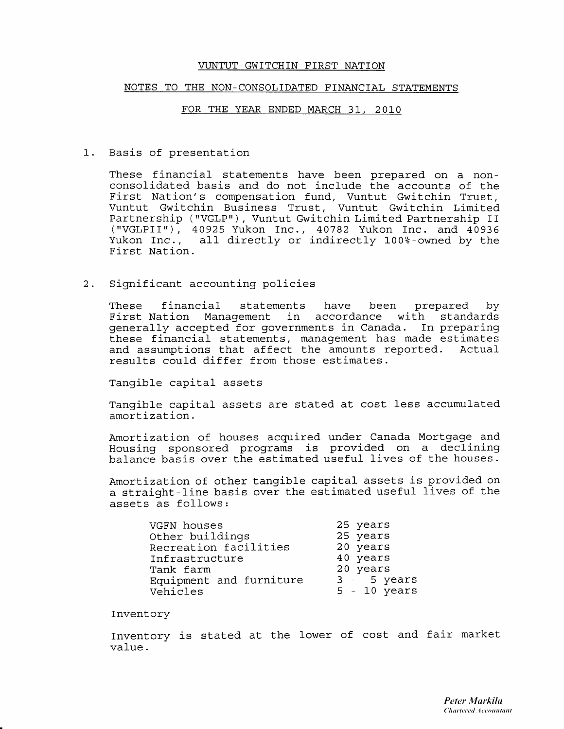### NOTES TO THE NON\_CONSOLIDATED FINANCIAL STATEMENTS

### FOR THE YEAR ENDED. MARCH 31, 2019

1. Basis of presentation

These financial statements have been prepared on a non-<br>consolidated basis and do not include the accounts of the First Nation's compensation fund, Vuntut Gwitchin Trust,<br>Vuntut Gwitchin Business Trust, Vuntut Gwitchin Limited<br>Partnership ("VGLP"), Vuntut Gwitchin Limited Partnership II<br>("VGLPII"), 40925 Yukon Inc., 40782 Yukon Inc. a Yukon Inc., all- directly or indirectly 100%-owned by the First Nation.

2. Significant accounting policies

These financial statements have been prepared by First Nation Management in accordance with standards generally accepted for governments in Canada. In preparing these financial statements, management has made estimates and assumptions that affect the amounts reported. Actual results could differ from those estimates.

Tangible capital assets

Tangible capital assets are stated at cost less accumulated amortization.

Amortization of houses acquired under Canada Mortgage and Housing sponsored programs is provided on a declining balance basis over the estimated useful lives of the houses.

Amortization of other tangible capital assets is provided on a straight-line basis over the estimated useful lives of the assets as follows:

| VGFN houses             | 25 years       |
|-------------------------|----------------|
| Other buildings         | 25 years       |
| Recreation facilities   | 20 years       |
| Infrastructure          | 40 years       |
| Tank farm               | 20 years       |
| Equipment and furniture | $3 - 5$ years  |
| Vehicles                | $5 - 10$ years |

Inventory

Inventory is stated at the lower of cost and fair market value .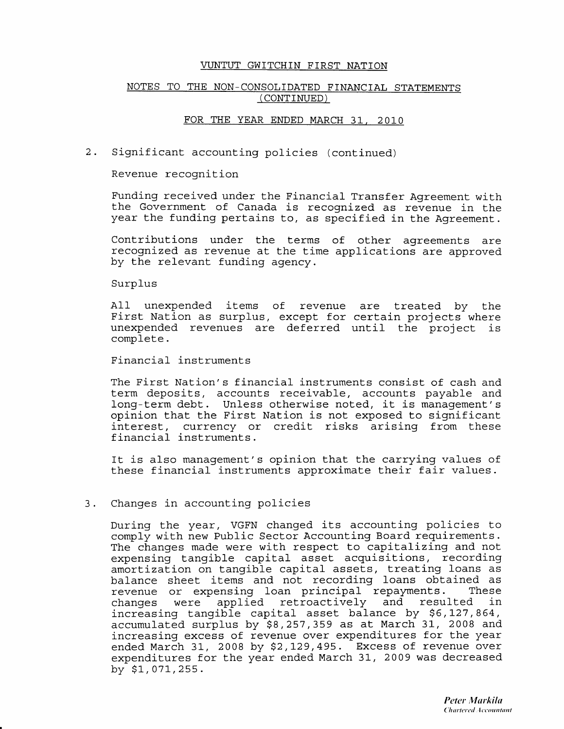## NOTES TO THE NON\_CONSOLIDATED FINANCIAL STATEMENTS ( CONTINUED )

### FOR THE YEAR ENDED MARCH 31, 2O1O

2. Significant accounting policies (continued)

Revenue recognition

Funding received under the Financial Transfer Agreement with<br>the Government of Canada is recognized as revenue in the year the funding pertains to, as specified in the Agreement.

Contributions under the terms of other agreements are recognized as revenue at the time applications are approved. by the relevant funding agency.

### Surplus

All unexpended items of revenue are treated by the First Nation as surplus, except for certain projects where unexpended revenues are deferred until the project is complete.

Financial instruments

The First Nation's financial instruments consist of cash and term deposits, accounts receivable, accounts payable and long-term debt. Unless otherwise noted, it is management's opinion that. the First Nation is not exposed to significant interest, currency or credit risks arising from these financial instruments.

It is also management's opinion that the carrying values of these financial instruments approximate their fair values.

### Changes in accounting policies  $3.$

During the year, VGFN changed its accounting policies to comply with new Public Sector Accounting Board requirements. The changes made were with respect to capitalizing and not expensing tangible capital asset acquisitions, recording capensing cangible capital absect acquibitions, recording<br>amortization on tangible capital assets, treating loans as amortization on cangibit capital abbook, creating roans as revenue or expensing loan principal repayments. These<br>changes were applied retroactively and resulted in applied retroactively and resulted increasing tangible capital asset balance by \$6,127,864, accumulated surplus by \$8,257,359 as at March 31, 2008 and increasing excess of revenue over expenditures for the year ended March 31, 2008 by  $$2,129,495$ . Excess of revenue over expenditures for the year ended March 31, 2009 was decreased by  $$1,071,255$ .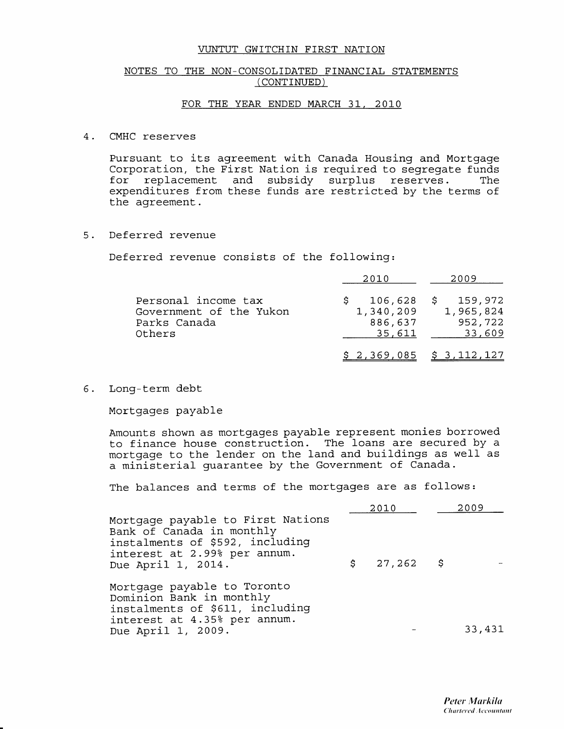### NOTES TO THE NON\_CONSOLIDATED FINANCIAL STATEMENTS ( CONTINUED )

### FOR THE YEAR ENDED MARCH 31, 2O1O

### CMHC reserves

Pursuant to its agreement with Canada Housing and Mortgage Corporation, the First Nation is required to segregate funds<br>for replacement and subsidy surplus reserves. The replacement and subsidy surplus expenditures from these funds are restricted by the terms of the agreement.

 $5.$ Deferred revenue

Deferred revenue consists of the following:

|                                                                          | 2010                           | 2009                                                       |
|--------------------------------------------------------------------------|--------------------------------|------------------------------------------------------------|
| Personal income tax<br>Government of the Yukon<br>Parks Canada<br>Others | 1,340,209<br>886,637<br>35,611 | $106,628 \quad $159,972$<br>1,965,824<br>952,722<br>33,609 |
|                                                                          |                                | $$2,369,085 \t $3,112,127$                                 |

6. Long-term debt

Mortgages payable

Amounts shown as mortgages payable represent monies borrowed to finance house construction. The loans are secured by a mortgage to the lender on the land and buildings as well as a ministerial guarantee by the Government of Canada.

The balances and terms of the mortgages are as follows:

|                                                                                                                                                         |     | 2010        | 2009   |
|---------------------------------------------------------------------------------------------------------------------------------------------------------|-----|-------------|--------|
| Mortgage payable to First Nations<br>Bank of Canada in monthly<br>instalments of \$592, including<br>interest at 2.99% per annum.<br>Due April 1, 2014. | \$. | $27,262$ \$ |        |
| Mortgage payable to Toronto<br>Dominion Bank in monthly<br>instalments of \$611, including<br>interest at 4.35% per annum.<br>Due April 1, 2009.        |     |             | 33,431 |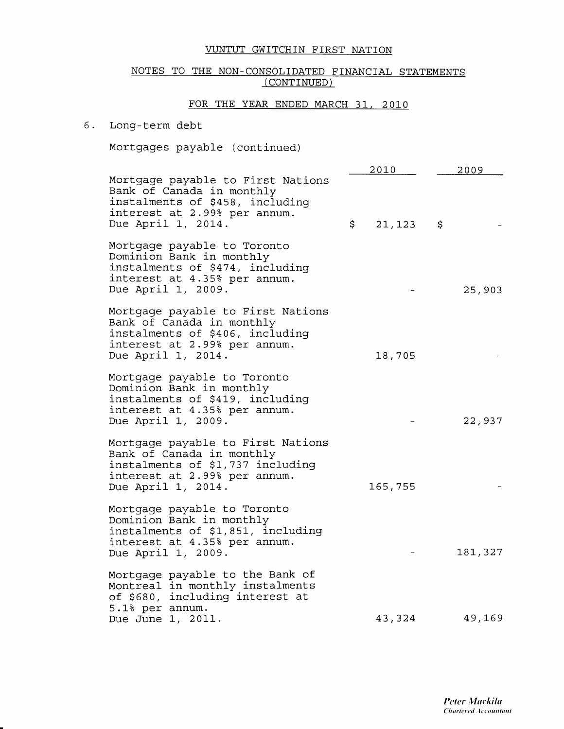# NOTES TO THE NON-CONSOLIDATED FINANCIAL STATEMENTS ( CONTINUED )

# FOR THE YEAR ENDED MARCH 31. 2O1O

### Long-term debt 6.

Mortgages payable (continued)

|                                                                                                                                                          | 2010         | 2009    |
|----------------------------------------------------------------------------------------------------------------------------------------------------------|--------------|---------|
| Mortgage payable to First Nations<br>Bank of Canada in monthly<br>instalments of \$458, including<br>interest at 2.99% per annum.<br>Due April 1, 2014.  | \$<br>21,123 | \$      |
| Mortgage payable to Toronto<br>Dominion Bank in monthly<br>instalments of \$474, including<br>interest at 4.35% per annum.<br>Due April 1, 2009.         |              | 25,903  |
| Mortgage payable to First Nations<br>Bank of Canada in monthly<br>instalments of \$406, including<br>interest at 2.99% per annum.<br>Due April 1, 2014.  | 18,705       |         |
| Mortgage payable to Toronto<br>Dominion Bank in monthly<br>instalments of \$419, including<br>interest at 4.35% per annum.<br>Due April 1, 2009.         |              | 22,937  |
| Mortgage payable to First Nations<br>Bank of Canada in monthly<br>instalments of \$1,737 including<br>interest at 2.99% per annum.<br>Due April 1, 2014. | 165,755      |         |
| Mortgage payable to Toronto<br>Dominion Bank in monthly<br>instalments of \$1,851, including<br>interest at 4.35% per annum.<br>Due April 1, 2009.       |              | 181,327 |
| Mortgage payable to the Bank of<br>Montreal in monthly instalments<br>of \$680, including interest at<br>5.1% per annum.<br>Due June 1, 2011.            | 43,324       | 49,169  |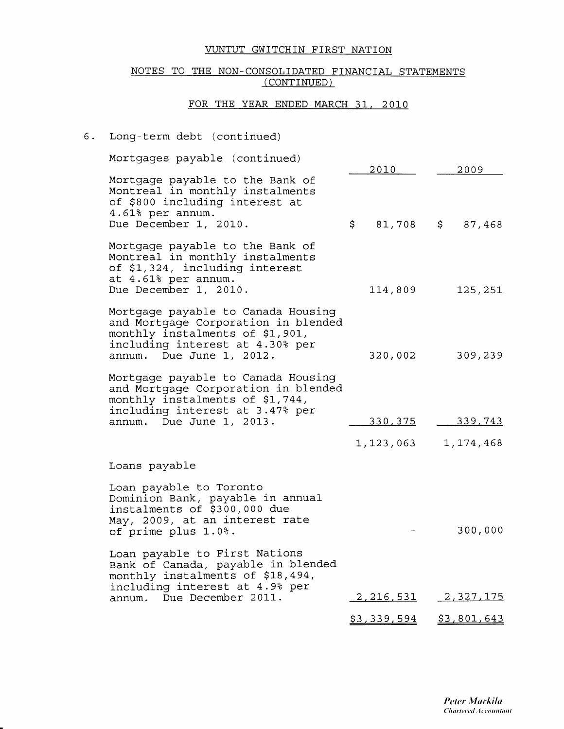# NOTES TO THE NON\_CONSOLIDATED FINANCIAL STATEMENTS (CONTINUED)

# FOR THE YEAR ENDED MARCH 31, 2010

# 6. Long-Lerm debt (continued)

| Mortgages payable (continued)                                                                                                                                               |                  |                          |
|-----------------------------------------------------------------------------------------------------------------------------------------------------------------------------|------------------|--------------------------|
| Mortgage payable to the Bank of<br>Montreal in monthly instalments<br>of \$800 including interest at<br>4.61% per annum.<br>Due December 1, 2010.                           | 2010 -<br>\$.    | 2009<br>81,708 \$ 87,468 |
| Mortgage payable to the Bank of<br>Montreal in monthly instalments<br>of \$1,324, including interest<br>at 4.61% per annum.<br>Due December 1, 2010.                        | 114,809          | 125,251                  |
| Mortgage payable to Canada Housing<br>and Mortgage Corporation in blended<br>monthly instalments of \$1,901,<br>including interest at 4.30% per<br>annum. Due June 1, 2012. | 320,002          | 309,239                  |
| Mortgage payable to Canada Housing<br>and Mortgage Corporation in blended<br>monthly instalments of \$1,744,<br>including interest at 3.47% per<br>annum. Due June 1, 2013. | <u>330,375</u>   | 339,743                  |
|                                                                                                                                                                             | 1,123,063        | 1, 174, 468              |
| Loans payable                                                                                                                                                               |                  |                          |
| Loan payable to Toronto<br>Dominion Bank, payable in annual<br>instalments of \$300,000 due<br>May, 2009, at an interest rate<br>of prime plus 1.0%.                        |                  | 300,000                  |
| Loan payable to First Nations<br>Bank of Canada, payable in blended<br>monthly instalments of \$18,494,<br>including interest at 4.9% per                                   |                  |                          |
| annum. Due December 2011.                                                                                                                                                   | <u>2,216,531</u> | 2,327,175                |
|                                                                                                                                                                             | \$3,339,594      | \$3,801,643              |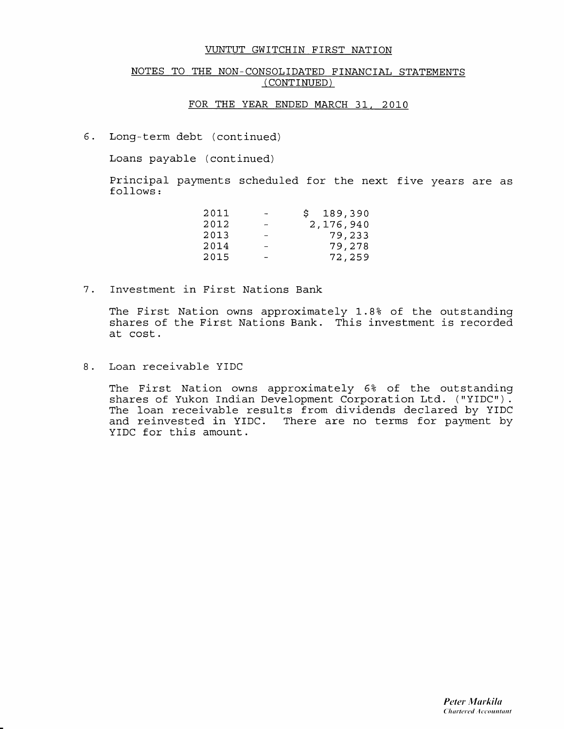# NOTES TO THE NON-CONSOLIDATED FINANCIAL STATEMENTS ( CONTINUED )

### FOR THE YEAR ENDED MARCH 31, 2O1O

6. Long-term debt (continued)

Loans payable (continued)

Principal payments scheduled for the next five years are as follows:

| 2011 |   | 189,390<br>S. |
|------|---|---------------|
| 2012 | - | 2,176,940     |
| 2013 |   | 79,233        |
| 2014 |   | 79,278        |
| 2015 |   | 72,259        |

Investment in First Nations Bank  $7.$ 

> The First Nation owns approximately 1.8? of the outstanding shares of the First Nations Bank. This investment is recorded at cost.

8. Loan receivable YIDC

The First Nation owns approximately 6% of the outstanding shares of Yukon Indian Development Corporation Ltd. ("YIDC"). The loan receivable results from dividends declared by YIDC and reinvested in YIDC. There are no terms for payment by YIDC for this amount,.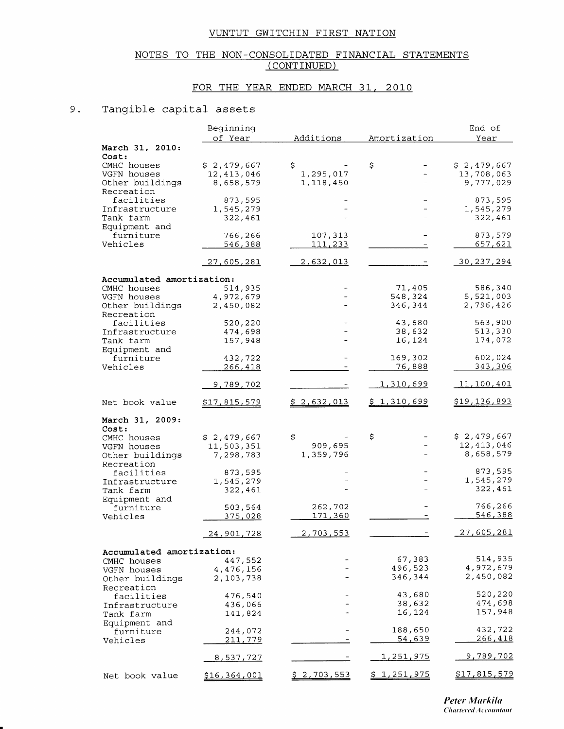# NOTES TO THE NON-CONSOLIDATED FINANCIAL STATEMENTS (CONTINUED)

# FOR THE YEAR ENDED MARCH 31, 2010

### 9. Tangible capital assets

|                             | Beginning                 |                    |                    | End of              |
|-----------------------------|---------------------------|--------------------|--------------------|---------------------|
|                             | of Year                   | Additions          | Amortization       | Year                |
| March 31, 2010:             |                           |                    |                    |                     |
| Cost:                       |                           |                    |                    |                     |
| CMHC houses                 | \$2,479,667               | \$                 | Ş                  | \$2,479,667         |
| VGFN houses                 | 12, 413, 046              | 1,295,017          |                    | 13,708,063          |
| Other buildings             | 8,658,579                 | 1,118,450          |                    | 9,777,029           |
| Recreation                  |                           |                    |                    |                     |
| facilities                  | 873,595                   |                    |                    | 873,595             |
| Infrastructure              | 1,545,279                 |                    |                    | 1,545,279           |
| Tank farm<br>Equipment and  | 322,461                   |                    |                    | 322,461             |
| furniture                   | 766,266                   | 107,313            |                    | 873,579             |
| Vehicles                    | 546,388                   | 111,233            |                    | <u>657,621</u>      |
|                             |                           |                    |                    |                     |
|                             | 27,605,281                | 2,632,013          |                    | <u>30,237,294</u>   |
|                             |                           |                    |                    |                     |
| Accumulated amortization:   |                           |                    |                    |                     |
| CMHC houses                 | 514,935                   |                    | 71,405             | 586,340             |
| VGFN houses                 | 4,972,679                 |                    | 548,324            | 5,521,003           |
| Other buildings             | 2,450,082                 |                    | 346,344            | 2,796,426           |
| Recreation                  |                           |                    |                    |                     |
| facilities                  | 520,220<br>474,698        |                    | 43,680<br>38,632   | 563,900<br>513,330  |
| Infrastructure<br>Tank farm | 157,948                   |                    | 16,124             | 174,072             |
| Equipment and               |                           |                    |                    |                     |
| furniture                   | 432,722                   |                    | 169,302            | 602,024             |
| Vehicles                    | <u>266,418</u>            |                    | 76,888             | 343,306             |
|                             |                           |                    |                    |                     |
|                             | <u>9,789,702</u>          |                    | <u>1,310,699</u>   | <u>11,100,401</u>   |
|                             |                           |                    |                    |                     |
| Net book value              | <u>\$17,815,579</u>       | \$2,632,013        | <u>\$1,310,699</u> | \$19,136,893        |
|                             |                           |                    |                    |                     |
| March 31, 2009:             |                           |                    |                    |                     |
| Cost:                       |                           |                    | \$                 | \$2,479,667         |
| CMHC houses<br>VGFN houses  | \$2,479,667<br>11,503,351 | \$<br>909,695      |                    | 12, 413, 046        |
| Other buildings             | 7,298,783                 | 1,359,796          |                    | 8,658,579           |
| Recreation                  |                           |                    |                    |                     |
| facilities                  | 873,595                   |                    |                    | 873,595             |
| Infrastructure              | 1,545,279                 |                    |                    | 1,545,279           |
| Tank farm                   | 322,461                   |                    |                    | 322,461             |
| Equipment and               |                           |                    |                    |                     |
| furniture                   | 503,564                   | 262,702            |                    | 766,266             |
| Vehicles                    | <u>375,028</u>            | <u>171,360</u>     |                    | 546,388             |
|                             |                           |                    |                    | 27,605,281          |
|                             | 24,901,728                | 2,703,553          |                    |                     |
| Accumulated amortization:   |                           |                    |                    |                     |
| CMHC houses                 | 447,552                   |                    | 67,383             | 514,935             |
| VGFN houses                 | 4,476,156                 |                    | 496,523            | 4,972,679           |
| Other buildings             | 2,103,738                 |                    | 346,344            | 2,450,082           |
| Recreation                  |                           |                    |                    |                     |
| facilities                  | 476,540                   |                    | 43,680             | 520,220             |
| Infrastructure              | 436,066                   |                    | 38,632             | 474,698             |
| Tank farm                   | 141,824                   |                    | 16,124             | 157,948             |
| Equipment and               |                           |                    |                    |                     |
| furniture                   | 244,072                   |                    | 188,650            | 432,722             |
| Vehicles                    | 211,779                   |                    | <u>54,639</u>      | 266,418             |
|                             |                           |                    | <u>1,251,975</u>   | <u>9,789,702</u>    |
|                             | 8,537,72 <u>7</u>         |                    |                    |                     |
| Net book value              | <u>\$16,364,001</u>       | <u>\$2,703,553</u> | <u>\$1,251,975</u> | <u>\$17,815,579</u> |
|                             |                           |                    |                    |                     |

Peter Markila **Chartered Accountant**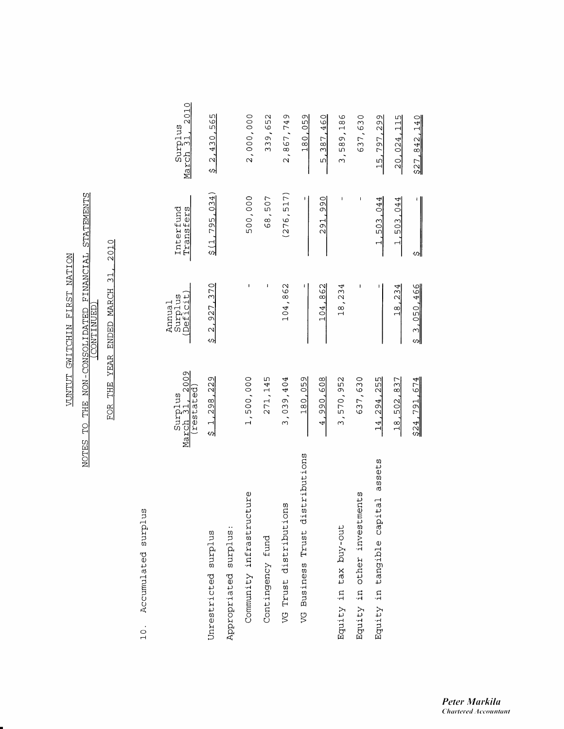# NOTES TO THE NON-CONSOLIDATED FINANCIAL STATEMENTS

2010 FOR THE YEAR ENDED MARCH 31,

> Accumulated surplus  $10.$

|                                      | Surplus<br>March 31, 2009<br><i>restated</i> | Surplus<br>(Deficit)<br>Annua1 | Interfund<br>Transfers | March 31, 2010<br>Surplus |
|--------------------------------------|----------------------------------------------|--------------------------------|------------------------|---------------------------|
| Unrestricted surplus                 | \$1,298,229                                  | \$2,927,370                    | \$(1, 795, 034)        | \$2,430,565               |
| Appropriated surplus:                |                                              |                                |                        |                           |
| Community infrastructure             | 1,500,000                                    |                                | 500,000                | 2,000,000                 |
| Contingency fund                     | 271, 145                                     |                                | 68,507                 | 339,652                   |
| VG Trust distributions               | 3,039,404                                    | 104,862                        | (276, 517)             | 2,867,749                 |
| stributions<br>VG Business Trust di  | 180.059                                      |                                |                        | 180,059                   |
|                                      | 4,990,608                                    | 104,862                        | 291.990                | 5,387,460                 |
| Equity in tax buy-out                | 3,570,952                                    | 18,234                         |                        | 3,589,186                 |
| Equity in other investments          | 637,630                                      |                                | I                      | 637,630                   |
| assets<br>Equity in tangible capital | 14, 294, 255                                 |                                | 1,503,044              | 15,797,299                |
|                                      | 18,502,837                                   | 18,234                         | $\_1,503,044$          | $-20,024,115$             |
|                                      | \$24,791,674                                 | \$3,050,466                    | S                      | 527.842.140               |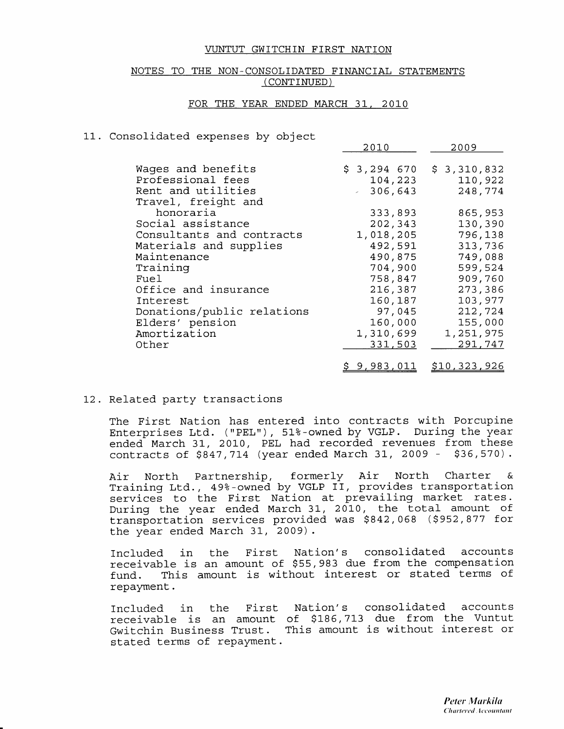### NOTES TO THE NON-CONSOLIDATED FINANCIAL STATEMENTS (CONTINUED)

### FOR THE YEAR ENDED MARCH 31, 2010

### 11. Consolidated expenses by object

|                                           | 2010                    | 2009                   |
|-------------------------------------------|-------------------------|------------------------|
| Wages and benefits<br>Professional fees   | $$3,294$ 670<br>104,223 | \$3,310,832<br>110,922 |
| Rent and utilities<br>Travel, freight and | $-306,643$              | 248,774                |
| honoraria                                 | 333,893                 | 865,953                |
| Social assistance                         | 202,343                 | 130,390                |
| Consultants and contracts                 | 1,018,205               | 796,138                |
| Materials and supplies                    | 492,591                 | 313,736                |
| Maintenance                               | 490,875                 | 749,088                |
| Training                                  | 704,900                 | 599,524                |
| Fuel                                      | 758,847                 | 909,760                |
| Office and insurance                      | 216,387                 | 273,386                |
| Interest                                  | 160,187                 | 103,977                |
| Donations/public relations                | 97,045                  | 212,724                |
| Elders' pension                           | 160,000                 | 155,000                |
| Amortization                              | 1,310,699               | 1,251,975              |
| Other                                     | 331,503                 | 291,747                |
|                                           | <u>\$ 9,983,011</u>     | \$10,323,926           |

12. Related party transactions

The First Nation has entered into contracts with Porcupine Enterprises Ltd. ("PEL"), 51%-owned by VGLP. During the year<br>ended March 31, 2010, PEL had recorded revenues from these<br>contracts of \$847,714 (year ended March 31, 2009 - \$36,570).

Air North Partnership, formerly Air North Charter &<br>Training-Ltd., 49%-owned-by-VGLP-II, provides-transportation services to the First Nation at prevailing market rates. During the year ended March 31, 2010, the total amount of transportation services provided was \$842,068 (\$952,877 for the year ended March 31, 2009).

Included in the First Nation's consolidated accounts receivable is an amount of \$55,983 due from the compensation This amount is without interest or stated terms of fund. repayment.

Nation's consolidated accounts Included in the First receivable is an amount of \$186,713 due from the Vuntut Gwitchin Business Trust. This amount is without interest or stated terms of repayment.